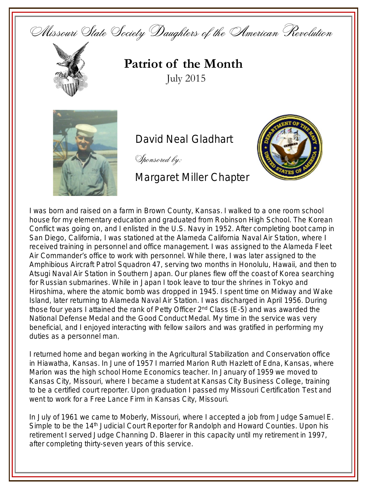



**Patriot of the Month** July 2015



David Neal Gladhart

Sponsored by:

Margaret Miller Chapter



I was born and raised on a farm in Brown County, Kansas. I walked to a one room school house for my elementary education and graduated from Robinson High School. The Korean Conflict was going on, and I enlisted in the U.S. Navy in 1952. After completing boot camp in San Diego, California, I was stationed at the Alameda California Naval Air Station, where I received training in personnel and office management. I was assigned to the Alameda Fleet Air Commander's office to work with personnel. While there, I was later assigned to the Amphibious Aircraft Patrol Squadron 47, serving two months in Honolulu, Hawaii, and then to Atsugi Naval Air Station in Southern Japan. Our planes flew off the coast of Korea searching for Russian submarines. While in Japan I took leave to tour the shrines in Tokyo and Hiroshima, where the atomic bomb was dropped in 1945. I spent time on Midway and Wake Island, later returning to Alameda Naval Air Station. I was discharged in April 1956. During those four years I attained the rank of Petty Officer 2<sup>nd</sup> Class (E-5) and was awarded the National Defense Medal and the Good Conduct Medal. My time in the service was very beneficial, and I enjoyed interacting with fellow sailors and was gratified in performing my duties as a personnel man.

I returned home and began working in the Agricultural Stabilization and Conservation office in Hiawatha, Kansas. In June of 1957 I married Marion Ruth Hazlett of Edna, Kansas, where Marion was the high school Home Economics teacher. In January of 1959 we moved to Kansas City, Missouri, where I became a student at Kansas City Business College, training to be a certified court reporter. Upon graduation I passed my Missouri Certification Test and went to work for a Free Lance Firm in Kansas City, Missouri.

In July of 1961 we came to Moberly, Missouri, where I accepted a job from Judge Samuel E. Simple to be the 14<sup>th</sup> Judicial Court Reporter for Randolph and Howard Counties. Upon his retirement I served Judge Channing D. Blaerer in this capacity until my retirement in 1997, after completing thirty-seven years of this service.